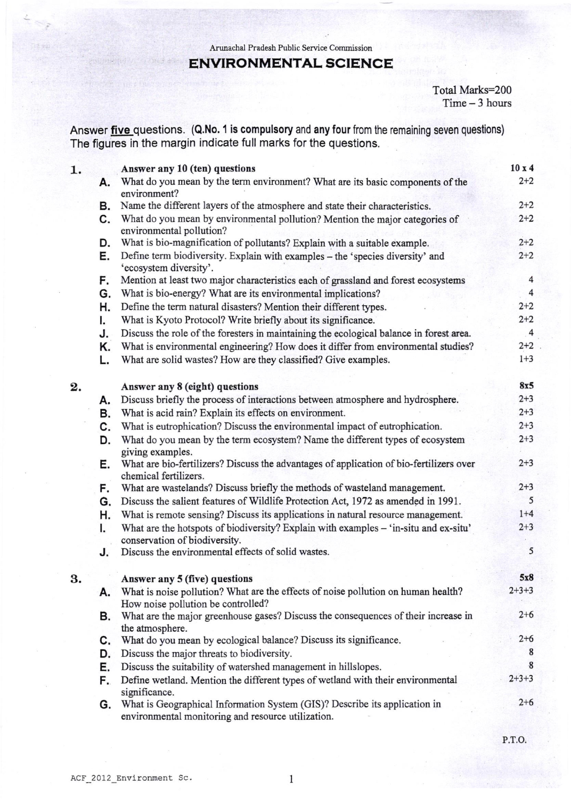Arunachal Pradesh Public Service Commission

## ENVIRONMENTAL SCIENCE

Total Marks=200 Time - 3 hours

Answer *five* questions. (Q.No. 1 is compulsory and any four from the remaining seven questions) The figures in the margin indicate full marks for the questions.

| 1. |          | Answer any 10 (ten) questions                                                                                                                       | 10x4                    |
|----|----------|-----------------------------------------------------------------------------------------------------------------------------------------------------|-------------------------|
|    | А.       | What do you mean by the term environment? What are its basic components of the<br>environment?                                                      | $2 + 2$                 |
|    | В.       | Name the different layers of the atmosphere and state their characteristics.                                                                        | $2 + 2$                 |
|    | C.       | What do you mean by environmental pollution? Mention the major categories of<br>environmental pollution?                                            | $2 + 2$                 |
|    | D.       | What is bio-magnification of pollutants? Explain with a suitable example.                                                                           | $2 + 2$                 |
|    | Е.       | Define term biodiversity. Explain with examples - the 'species diversity' and<br>'ecosystem diversity'.                                             | $2 + 2$                 |
|    | F.       | Mention at least two major characteristics each of grassland and forest ecosystems                                                                  | $\overline{\mathbf{4}}$ |
|    | G.       | What is bio-energy? What are its environmental implications?                                                                                        | $\overline{4}$          |
|    | н.       | Define the term natural disasters? Mention their different types.                                                                                   | $2 + 2$                 |
|    | I.       | What is Kyoto Protocol? Write briefly about its significance.                                                                                       | $2 + 2$                 |
|    | J.       | Discuss the role of the foresters in maintaining the ecological balance in forest area.                                                             | $\overline{4}$          |
|    | Κ.<br>L. | What is environmental engineering? How does it differ from environmental studies?<br>What are solid wastes? How are they classified? Give examples. | $2 + 2$<br>$1 + 3$      |
| 2. |          | Answer any 8 (eight) questions                                                                                                                      | 8x5                     |
|    | А.       | Discuss briefly the process of interactions between atmosphere and hydrosphere.                                                                     | $2 + 3$                 |
|    | В.       | What is acid rain? Explain its effects on environment.                                                                                              | $2 + 3$                 |
|    | C.       | What is eutrophication? Discuss the environmental impact of eutrophication.                                                                         | $2 + 3$                 |
|    | D.       | What do you mean by the term ecosystem? Name the different types of ecosystem<br>giving examples.                                                   | $2 + 3$                 |
|    | Е.       | What are bio-fertilizers? Discuss the advantages of application of bio-fertilizers over<br>chemical fertilizers.                                    | $2 + 3$                 |
|    | F.       | What are wastelands? Discuss briefly the methods of wasteland management.                                                                           | $2 + 3$                 |
|    | G.       | Discuss the salient features of Wildlife Protection Act, 1972 as amended in 1991.                                                                   | 5                       |
|    | н.       | What is remote sensing? Discuss its applications in natural resource management.                                                                    | $1+4$                   |
|    | I.       | What are the hotspots of biodiversity? Explain with examples - 'in-situ and ex-situ'<br>conservation of biodiversity.                               | $2 + 3$                 |
|    | J.       | Discuss the environmental effects of solid wastes.                                                                                                  | 5                       |
| 3. |          | Answer any 5 (five) questions                                                                                                                       | 5x8                     |
|    | А.       | What is noise pollution? What are the effects of noise pollution on human health?<br>How noise pollution be controlled?                             | $2 + 3 + 3$             |
|    | В.       | What are the major greenhouse gases? Discuss the consequences of their increase in<br>the atmosphere.                                               | $2 + 6$                 |
|    | C.       | What do you mean by ecological balance? Discuss its significance.                                                                                   | $2 + 6$                 |
|    | D.       | Discuss the major threats to biodiversity.                                                                                                          | 8                       |
|    | Е.       | Discuss the suitability of watershed management in hillslopes.                                                                                      | 8                       |
|    | F.       | Define wetland. Mention the different types of wetland with their environmental<br>significance.                                                    | $2 + 3 + 3$             |
|    | G.       | What is Geographical Information System (GIS)? Describe its application in<br>environmental monitoring and resource utilization.                    | $2 + 6$                 |
|    |          |                                                                                                                                                     | P.T.O.                  |